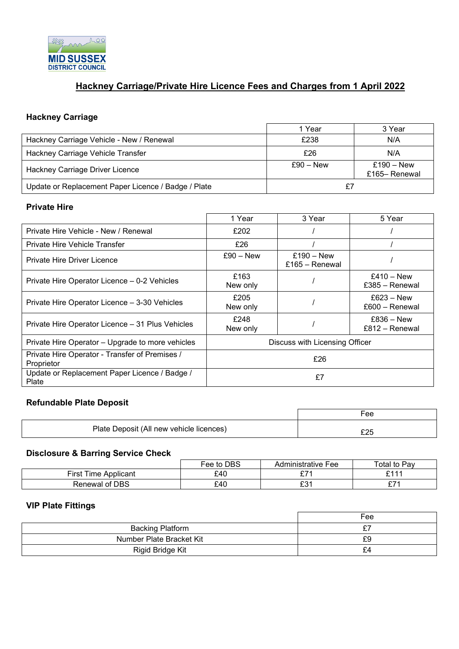

# **Hackney Carriage/Private Hire Licence Fees and Charges from 1 April 2022**

#### **Hackney Carriage**

|                                                     | Year        | 3 Year                        |
|-----------------------------------------------------|-------------|-------------------------------|
| Hackney Carriage Vehicle - New / Renewal            | £238        | N/A                           |
| Hackney Carriage Vehicle Transfer                   | £26         | N/A                           |
| Hackney Carriage Driver Licence                     | $f90 - New$ | $£190 - New$<br>£165– Renewal |
| Update or Replacement Paper Licence / Badge / Plate |             |                               |

#### **Private Hire**

|                                                              | 1 Year                         | 3 Year                         | 5 Year                           |
|--------------------------------------------------------------|--------------------------------|--------------------------------|----------------------------------|
| Private Hire Vehicle - New / Renewal                         | £202                           |                                |                                  |
| Private Hire Vehicle Transfer                                | £26                            |                                |                                  |
| Private Hire Driver Licence                                  | $f90 - New$                    | $£190 - New$<br>£165 – Renewal |                                  |
| Private Hire Operator Licence – 0-2 Vehicles                 | £163<br>New only               |                                | $£410 - New$<br>£385 – Renewal   |
| Private Hire Operator Licence - 3-30 Vehicles                | £205<br>New only               |                                | $£623 - New$<br>$£600 - Renewal$ |
| Private Hire Operator Licence - 31 Plus Vehicles             | £248<br>New only               |                                | $£836 - New$<br>$£812 - Renewal$ |
| Private Hire Operator - Upgrade to more vehicles             | Discuss with Licensing Officer |                                |                                  |
| Private Hire Operator - Transfer of Premises /<br>Proprietor | £26                            |                                |                                  |
| Update or Replacement Paper Licence / Badge /<br>Plate       | £7                             |                                |                                  |

## **Refundable Plate Deposit**

|                                          | -ее |
|------------------------------------------|-----|
| Plate Deposit (All new vehicle licences) |     |

#### **Disclosure & Barring Service Check**

|                            | Fee to DBS | Administrative Fee   | Total to Pav     |
|----------------------------|------------|----------------------|------------------|
| First Ti<br>Time Applicant | £40        | 07 <sub>0</sub><br>~ | <b>C444</b><br>- |
| Renewal of DBS             | £40        | ro 1<br>⊥ບ           | 074              |

### **VIP Plate Fittings**

|                          | Fee |
|--------------------------|-----|
| <b>Backing Platform</b>  | ົ   |
| Number Plate Bracket Kit | £9  |
| Rigid Bridge Kit         | £4  |